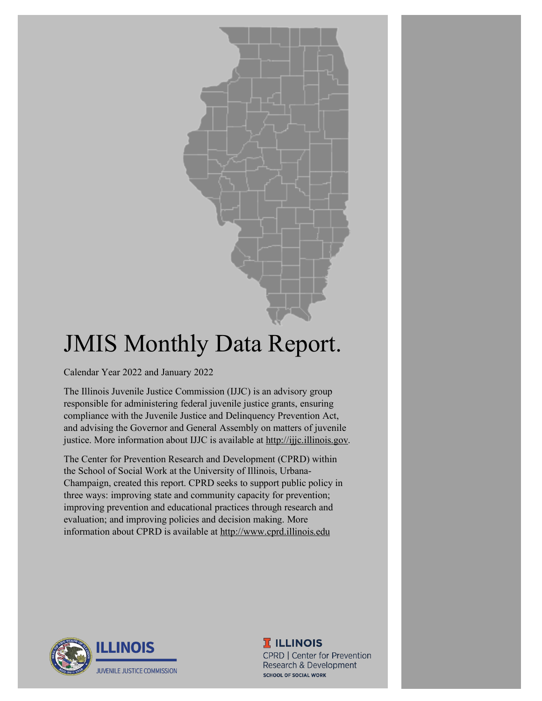

# JMIS Monthly Data Report.

Calendar Year 2022 and January 2022

The Illinois Juvenile Justice Commission (IJJC) is an advisory group responsible for administering federal juvenile justice grants, ensuring compliance with the Juvenile Justice and Delinquency Prevention Act, and advising the Governor and General Assembly on matters of juvenile justice. More information about IJJC is available at [http://ijjc.illinois.gov.](http://ijjc.illinois.gov/)

The Center for Prevention Research and Development (CPRD) within the School of Social Work at the University of Illinois, Urbana-Champaign, created this report. CPRD seeks to support public policy in three ways: improving state and community capacity for prevention; improving prevention and educational practices through research and evaluation; and improving policies and decision making. More information about CPRD is available at [http://www.cprd.illinois.edu](http://www.cprd.illinois.edu/)



**T ILLINOIS** 

CPRD | Center for Prevention Research & Development **SCHOOL OF SOCIAL WORK**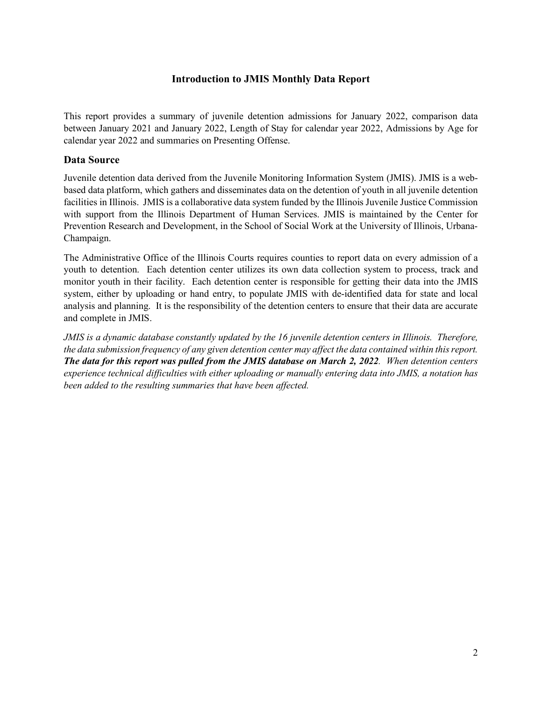#### **Introduction to JMIS Monthly Data Report**

This report provides a summary of juvenile detention admissions for January 2022, comparison data between January 2021 and January 2022, Length of Stay for calendar year 2022, Admissions by Age for calendar year 2022 and summaries on Presenting Offense.

#### **Data Source**

Juvenile detention data derived from the Juvenile Monitoring Information System (JMIS). JMIS is a webbased data platform, which gathers and disseminates data on the detention of youth in all juvenile detention facilities in Illinois. JMIS is a collaborative data system funded by the Illinois Juvenile Justice Commission with support from the Illinois Department of Human Services. JMIS is maintained by the Center for Prevention Research and Development, in the School of Social Work at the University of Illinois, Urbana-Champaign.

The Administrative Office of the Illinois Courts requires counties to report data on every admission of a youth to detention. Each detention center utilizes its own data collection system to process, track and monitor youth in their facility. Each detention center is responsible for getting their data into the JMIS system, either by uploading or hand entry, to populate JMIS with de-identified data for state and local analysis and planning. It is the responsibility of the detention centers to ensure that their data are accurate and complete in JMIS.

*JMIS is a dynamic database constantly updated by the 16 juvenile detention centers in Illinois. Therefore, the data submission frequency of any given detention center may affect the data contained within this report. The data for this report was pulled from the JMIS database on March 2, 2022. When detention centers experience technical difficulties with either uploading or manually entering data into JMIS, a notation has been added to the resulting summaries that have been affected.*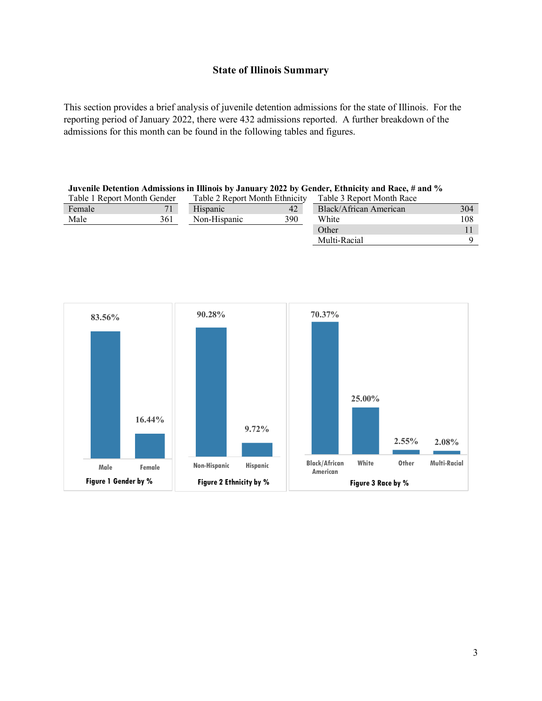#### **State of Illinois Summary**

This section provides a brief analysis of juvenile detention admissions for the state of Illinois. For the reporting period of January 2022, there were 432 admissions reported. A further breakdown of the admissions for this month can be found in the following tables and figures.

| Juvenile Detention Admissions in Illinois by January 2022 by Gender, Ethnicity and Race, # and % |     |                                |     |                           |     |  |  |
|--------------------------------------------------------------------------------------------------|-----|--------------------------------|-----|---------------------------|-----|--|--|
| Table 1 Report Month Gender                                                                      |     | Table 2 Report Month Ethnicity |     | Table 3 Report Month Race |     |  |  |
| Female                                                                                           | 71  | Hispanic                       | 42  | Black/African American    | 304 |  |  |
| Male                                                                                             | 361 | Non-Hispanic                   | 390 | White                     | 108 |  |  |
|                                                                                                  |     |                                |     | Other                     |     |  |  |
|                                                                                                  |     |                                |     | Multi-Racial              |     |  |  |

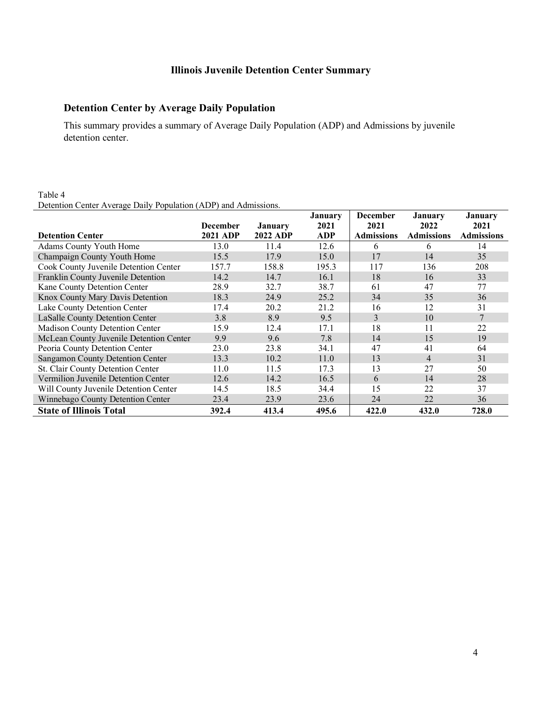# **Illinois Juvenile Detention Center Summary**

#### **Detention Center by Average Daily Population**

This summary provides a summary of Average Daily Population (ADP) and Admissions by juvenile detention center.

#### Table 4 Detention Center Average Daily Population (ADP) and Admissions.

|                                         |                 |                 | <b>January</b> | <b>December</b>   | January           | January           |
|-----------------------------------------|-----------------|-----------------|----------------|-------------------|-------------------|-------------------|
|                                         | <b>December</b> | <b>January</b>  | 2021           | 2021              | 2022              | 2021              |
| <b>Detention Center</b>                 | 2021 ADP        | <b>2022 ADP</b> | <b>ADP</b>     | <b>Admissions</b> | <b>Admissions</b> | <b>Admissions</b> |
| Adams County Youth Home                 | 13.0            | 11.4            | 12.6           | 6                 | 6                 | 14                |
| Champaign County Youth Home             | 15.5            | 17.9            | 15.0           | 17                | 14                | 35                |
| Cook County Juvenile Detention Center   | 157.7           | 158.8           | 195.3          | 117               | 136               | 208               |
| Franklin County Juvenile Detention      | 14.2            | 14.7            | 16.1           | 18                | 16                | 33                |
| Kane County Detention Center            | 28.9            | 32.7            | 38.7           | 61                | 47                | 77                |
| Knox County Mary Davis Detention        | 18.3            | 24.9            | 25.2           | 34                | 35                | 36                |
| Lake County Detention Center            | 17.4            | 20.2            | 21.2           | 16                | 12                | 31                |
| LaSalle County Detention Center         | 3.8             | 8.9             | 9.5            | 3                 | 10                | 7                 |
| Madison County Detention Center         | 15.9            | 12.4            | 17.1           | 18                | 11                | 22                |
| McLean County Juvenile Detention Center | 9.9             | 9.6             | 7.8            | 14                | 15                | 19                |
| Peoria County Detention Center          | 23.0            | 23.8            | 34.1           | 47                | 41                | 64                |
| Sangamon County Detention Center        | 13.3            | 10.2            | 11.0           | 13                | $\overline{4}$    | 31                |
| St. Clair County Detention Center       | 11.0            | 11.5            | 17.3           | 13                | 27                | 50                |
| Vermilion Juvenile Detention Center     | 12.6            | 14.2            | 16.5           | 6                 | 14                | 28                |
| Will County Juvenile Detention Center   | 14.5            | 18.5            | 34.4           | 15                | 22                | 37                |
| Winnebago County Detention Center       | 23.4            | 23.9            | 23.6           | 24                | 22                | 36                |
| <b>State of Illinois Total</b>          | 392.4           | 413.4           | 495.6          | 422.0             | 432.0             | 728.0             |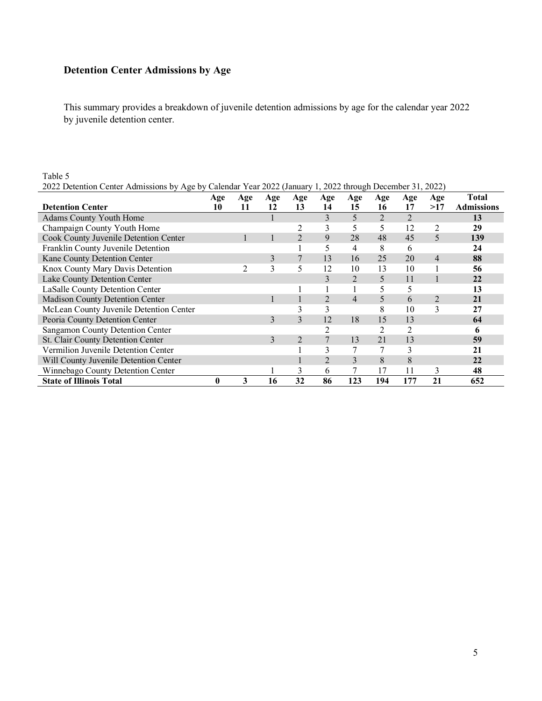# **Detention Center Admissions by Age**

This summary provides a breakdown of juvenile detention admissions by age for the calendar year 2022 by juvenile detention center.

#### Table 5 2022 Detention Center Admissions by Age by Calendar Year 2022 (January 1, 2022 through December 31, 2022)

|                                         | Age      | Age | Age | Age            | Age            | Age            | Age | Age            | Age            | <b>Total</b>      |
|-----------------------------------------|----------|-----|-----|----------------|----------------|----------------|-----|----------------|----------------|-------------------|
| <b>Detention Center</b>                 | 10       | 11  | 12  | 13             | 14             | 15             | 16  | 17             | >17            | <b>Admissions</b> |
| <b>Adams County Youth Home</b>          |          |     |     |                | 3              | 5              | 2   | $\overline{2}$ |                | 13                |
| Champaign County Youth Home             |          |     |     | 2              | 3              | 5              | 5   | 12             | 2              | 29                |
| Cook County Juvenile Detention Center   |          |     |     | $\overline{2}$ | 9              | 28             | 48  | 45             | 5              | 139               |
| Franklin County Juvenile Detention      |          |     |     |                | 5              | 4              | 8   | 6              |                | 24                |
| Kane County Detention Center            |          |     | 3   |                | 13             | 16             | 25  | 20             | $\overline{4}$ | 88                |
| Knox County Mary Davis Detention        |          | 2   | 3   | 5              | 12             | 10             | 13  | 10             |                | 56                |
| Lake County Detention Center            |          |     |     |                | 3              | 2              | 5   | 11             |                | 22                |
| LaSalle County Detention Center         |          |     |     |                |                |                | 5   | 5              |                | 13                |
| Madison County Detention Center         |          |     |     |                | $\overline{2}$ | $\overline{4}$ | 5   | 6              | $\overline{2}$ | 21                |
| McLean County Juvenile Detention Center |          |     |     | 3              | 3              |                | 8   | 10             | 3              | 27                |
| Peoria County Detention Center          |          |     | 3   | 3              | 12             | 18             | 15  | 13             |                | 64                |
| Sangamon County Detention Center        |          |     |     |                | $\overline{c}$ |                |     |                |                | 6                 |
| St. Clair County Detention Center       |          |     | 3   | 2              | 7              | 13             | 21  | 13             |                | 59                |
| Vermilion Juvenile Detention Center     |          |     |     |                | 3              | 7              |     | 3              |                | 21                |
| Will County Juvenile Detention Center   |          |     |     |                | $\overline{2}$ | 3              | 8   | 8              |                | 22                |
| Winnebago County Detention Center       |          |     |     | 3              | 6              | 7              | 17  | 11             | 3              | 48                |
| <b>State of Illinois Total</b>          | $\bf{0}$ | 3   | 16  | 32             | 86             | 123            | 194 | 177            | 21             | 652               |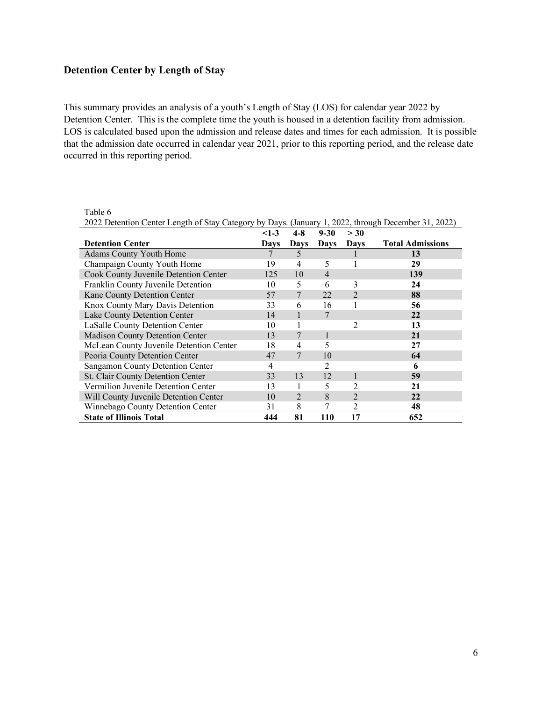## **Detention Center by Length of Stay**

Table 6

This summary provides an analysis of a youth's Length of Stay (LOS) for calendar year 2022 by Detention Center. This is the complete time the youth is housed in a detention facility from admission. LOS is calculated based upon the admission and release dates and times for each admission. It is possible that the admission date occurred in calendar year 2021, prior to this reporting period, and the release date occurred in this reporting period.

| 2022 Detention Center Length of Stay Category by Days. (January 1, 2022, through December 31, 2022) |        |                |                |                |                         |  |  |
|-----------------------------------------------------------------------------------------------------|--------|----------------|----------------|----------------|-------------------------|--|--|
|                                                                                                     | $<1-3$ | $4 - 8$        | $9 - 30$       | > 30           |                         |  |  |
| <b>Detention Center</b>                                                                             | Davs   | Days           | <b>Days</b>    | Davs           | <b>Total Admissions</b> |  |  |
| Adams County Youth Home                                                                             | 7      | 5              |                |                | 13                      |  |  |
| Champaign County Youth Home                                                                         | 19     | 4              | 5              |                | 29                      |  |  |
| Cook County Juvenile Detention Center                                                               | 125    | 10             | $\overline{4}$ |                | 139                     |  |  |
| Franklin County Juvenile Detention                                                                  | 10     | 5              | 6              | 3              | 24                      |  |  |
| Kane County Detention Center                                                                        | 57     | 7              | 22             | $\overline{2}$ | 88                      |  |  |
| Knox County Mary Davis Detention                                                                    | 33     | 6              | 16             |                | 56                      |  |  |
| Lake County Detention Center                                                                        | 14     |                | 7              |                | 22                      |  |  |
| LaSalle County Detention Center                                                                     | 10     |                |                | 2              | 13                      |  |  |
| Madison County Detention Center                                                                     | 13     | 7              | 1              |                | 21                      |  |  |
| McLean County Juvenile Detention Center                                                             |        | 4              | 5              |                | 27                      |  |  |
| Peoria County Detention Center                                                                      | 47     | 7              | 10             |                | 64                      |  |  |
| Sangamon County Detention Center                                                                    | 4      |                | 2              |                | 6                       |  |  |
| St. Clair County Detention Center                                                                   | 33     | 13             | 12             |                | 59                      |  |  |
| Vermilion Juvenile Detention Center                                                                 | 13     |                | 5              | 2              | 21                      |  |  |
| Will County Juvenile Detention Center                                                               | 10     | $\overline{2}$ | 8              | $\overline{2}$ | 22                      |  |  |
| Winnebago County Detention Center                                                                   | 31     | 8              | 7              | $\overline{c}$ | 48                      |  |  |
| <b>State of Illinois Total</b>                                                                      | 444    | 81             | <b>110</b>     | 17             | 652                     |  |  |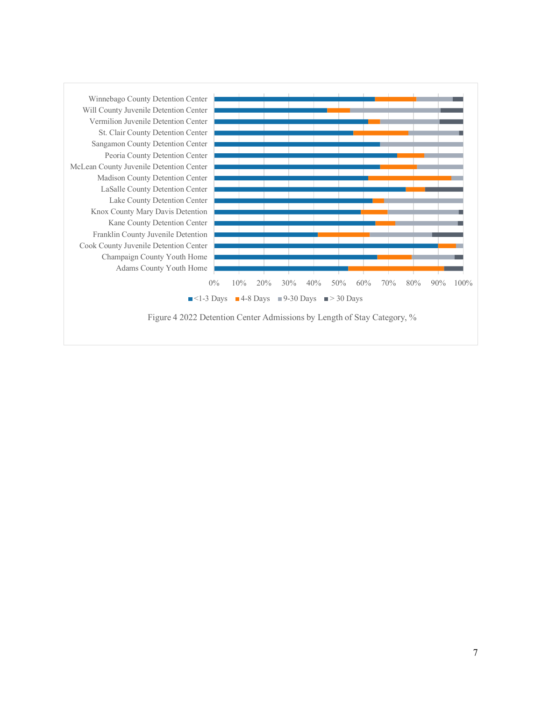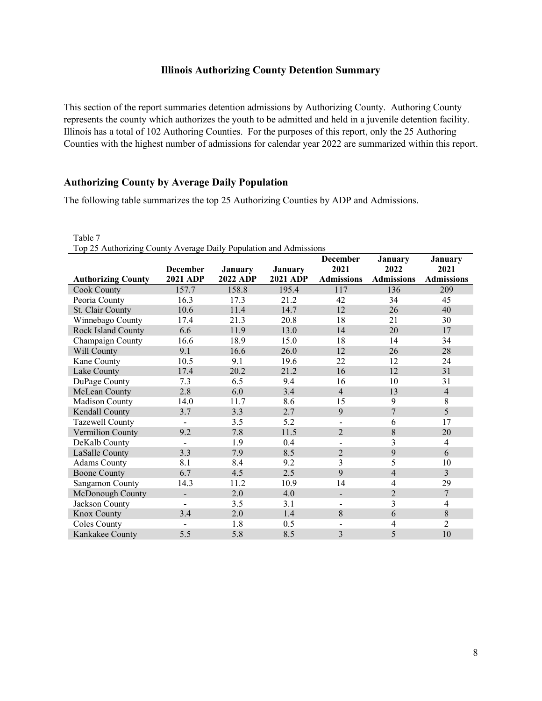#### **Illinois Authorizing County Detention Summary**

This section of the report summaries detention admissions by Authorizing County. Authoring County represents the county which authorizes the youth to be admitted and held in a juvenile detention facility. Illinois has a total of 102 Authoring Counties. For the purposes of this report, only the 25 Authoring Counties with the highest number of admissions for calendar year 2022 are summarized within this report.

#### **Authorizing County by Average Daily Population**

The following table summarizes the top 25 Authorizing Counties by ADP and Admissions.

| Table 7                                                           |                 |                 |                 |                          |                   |                   |  |  |
|-------------------------------------------------------------------|-----------------|-----------------|-----------------|--------------------------|-------------------|-------------------|--|--|
| Top 25 Authorizing County Average Daily Population and Admissions |                 |                 |                 |                          |                   |                   |  |  |
|                                                                   |                 |                 |                 | <b>December</b>          | January           | <b>January</b>    |  |  |
|                                                                   | <b>December</b> | <b>January</b>  | <b>January</b>  | 2021                     | 2022              | 2021              |  |  |
| <b>Authorizing County</b>                                         | <b>2021 ADP</b> | <b>2022 ADP</b> | <b>2021 ADP</b> | <b>Admissions</b>        | <b>Admissions</b> | <b>Admissions</b> |  |  |
| Cook County                                                       | 157.7           | 158.8           | 195.4           | 117                      | 136               | 209               |  |  |
| Peoria County                                                     | 16.3            | 17.3            | 21.2            | 42                       | 34                | 45                |  |  |
| St. Clair County                                                  | 10.6            | 11.4            | 14.7            | 12                       | 26                | 40                |  |  |
| Winnebago County                                                  | 17.4            | 21.3            | 20.8            | 18                       | 21                | 30                |  |  |
| Rock Island County                                                | 6.6             | 11.9            | 13.0            | 14                       | 20                | 17                |  |  |
| Champaign County                                                  | 16.6            | 18.9            | 15.0            | 18                       | 14                | 34                |  |  |
| Will County                                                       | 9.1             | 16.6            | 26.0            | 12                       | 26                | 28                |  |  |
| Kane County                                                       | 10.5            | 9.1             | 19.6            | 22                       | 12                | 24                |  |  |
| Lake County                                                       | 17.4            | 20.2            | 21.2            | 16                       | 12                | 31                |  |  |
| DuPage County                                                     | 7.3             | 6.5             | 9.4             | 16                       | 10                | 31                |  |  |
| McLean County                                                     | 2.8             | 6.0             | 3.4             | $\overline{4}$           | 13                | $\overline{4}$    |  |  |
| Madison County                                                    | 14.0            | 11.7            | 8.6             | 15                       | 9                 | $8\,$             |  |  |
| Kendall County                                                    | 3.7             | 3.3             | 2.7             | 9                        | $\overline{7}$    | 5                 |  |  |
| Tazewell County                                                   | $\blacksquare$  | 3.5             | 5.2             | $\overline{\phantom{a}}$ | 6                 | 17                |  |  |
| Vermilion County                                                  | 9.2             | 7.8             | 11.5            | $\overline{2}$           | 8                 | 20                |  |  |
| DeKalb County                                                     | $\blacksquare$  | 1.9             | 0.4             | $\overline{\phantom{a}}$ | $\overline{3}$    | $\overline{4}$    |  |  |
| LaSalle County                                                    | 3.3             | 7.9             | 8.5             | $\overline{2}$           | 9                 | 6                 |  |  |
| <b>Adams County</b>                                               | 8.1             | 8.4             | 9.2             | 3                        | 5                 | 10                |  |  |
| <b>Boone County</b>                                               | 6.7             | 4.5             | 2.5             | 9                        | $\overline{4}$    | $\overline{3}$    |  |  |
| Sangamon County                                                   | 14.3            | 11.2            | 10.9            | 14                       | $\overline{4}$    | 29                |  |  |
| McDonough County                                                  | $\overline{a}$  | 2.0             | 4.0             | $\overline{\phantom{a}}$ | $\overline{2}$    | $\boldsymbol{7}$  |  |  |
| Jackson County                                                    |                 | 3.5             | 3.1             | $\overline{\phantom{a}}$ | $\overline{3}$    | $\overline{4}$    |  |  |
| Knox County                                                       | 3.4             | 2.0             | 1.4             | 8                        | 6                 | $\,$ 8 $\,$       |  |  |
| <b>Coles County</b>                                               |                 | 1.8             | 0.5             | $\overline{\phantom{a}}$ | $\overline{4}$    | $\overline{2}$    |  |  |
| Kankakee County                                                   | 5.5             | 5.8             | 8.5             | 3                        | 5                 | 10                |  |  |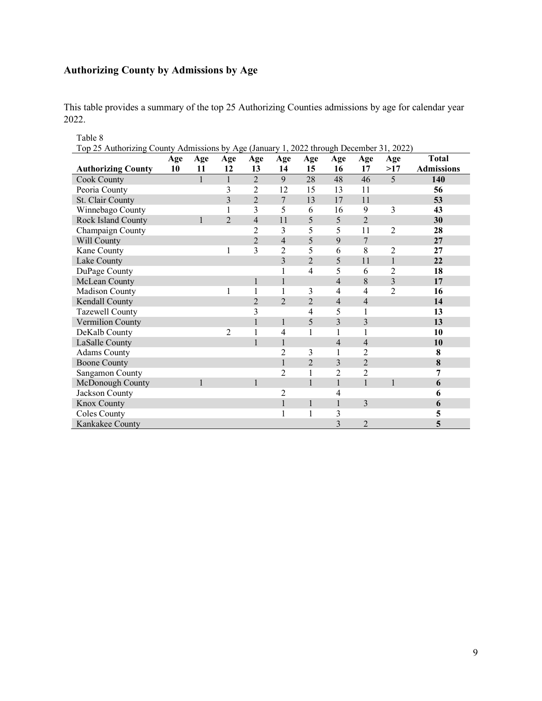# **Authorizing County by Admissions by Age**

This table provides a summary of the top 25 Authorizing Counties admissions by age for calendar year 2022.

| Table 8                                                                                 |     |              |                |                |                |                |                         |                |                |                   |
|-----------------------------------------------------------------------------------------|-----|--------------|----------------|----------------|----------------|----------------|-------------------------|----------------|----------------|-------------------|
| Top 25 Authorizing County Admissions by Age (January 1, 2022 through December 31, 2022) |     |              |                |                |                |                |                         |                |                |                   |
|                                                                                         | Age | Age          | Age            | Age            | Age            | Age            | Age                     | Age            | Age            | <b>Total</b>      |
| <b>Authorizing County</b>                                                               | 10  | 11           | 12             | 13             | 14             | 15             | 16                      | 17             | >17            | <b>Admissions</b> |
| <b>Cook County</b>                                                                      |     | $\mathbf{1}$ | $\mathbf{1}$   | $\overline{2}$ | 9              | 28             | 48                      | 46             | 5              | 140               |
| Peoria County                                                                           |     |              | 3              | $\overline{c}$ | 12             | 15             | 13                      | 11             |                | 56                |
| St. Clair County                                                                        |     |              | $\overline{3}$ | $\overline{2}$ | $\overline{7}$ | 13             | 17                      | 11             |                | 53                |
| Winnebago County                                                                        |     |              |                | 3              | 5              | 6              | 16                      | 9              | 3              | 43                |
| Rock Island County                                                                      |     | $\mathbf{1}$ | $\overline{2}$ | $\overline{4}$ | 11             | 5              | 5                       | $\overline{2}$ |                | 30                |
| Champaign County                                                                        |     |              |                | $\overline{2}$ | 3              | 5              | 5                       | 11             | $\overline{2}$ | 28                |
| Will County                                                                             |     |              |                | $\overline{2}$ | $\overline{4}$ | 5              | 9                       | $\overline{7}$ |                | 27                |
| Kane County                                                                             |     |              | 1              | 3              | $\overline{c}$ | 5              | 6                       | 8              | $\overline{2}$ | 27                |
| Lake County                                                                             |     |              |                |                | $\overline{3}$ | $\overline{2}$ | 5                       | 11             | $\mathbf{1}$   | 22                |
| DuPage County                                                                           |     |              |                |                | 1              | $\overline{4}$ | 5                       | 6              | $\overline{2}$ | 18                |
| McLean County                                                                           |     |              |                | $\mathbf{1}$   | $\mathbf{1}$   |                | $\overline{4}$          | 8              | 3              | 17                |
| Madison County                                                                          |     |              | 1              | $\mathbf{1}$   | 1              | 3              | $\overline{4}$          | 4              | $\overline{2}$ | 16                |
| Kendall County                                                                          |     |              |                | $\overline{2}$ | $\overline{2}$ | $\overline{2}$ | $\overline{4}$          | $\overline{4}$ |                | 14                |
| Tazewell County                                                                         |     |              |                | 3              |                | 4              | 5                       | 1              |                | 13                |
| Vermilion County                                                                        |     |              |                | $\mathbf{1}$   | $\mathbf{1}$   | 5              | 3                       | 3              |                | 13                |
| DeKalb County                                                                           |     |              | $\overline{2}$ | $\mathbf{1}$   | $\overline{4}$ | 1              | 1                       | 1              |                | 10                |
| LaSalle County                                                                          |     |              |                | $\mathbf{1}$   | $\mathbf{1}$   |                | $\overline{4}$          | $\overline{4}$ |                | 10                |
| <b>Adams County</b>                                                                     |     |              |                |                | 2              | 3              | 1                       | $\overline{2}$ |                | 8                 |
| <b>Boone County</b>                                                                     |     |              |                |                | $\mathbf{1}$   | $\overline{2}$ | 3                       | $\overline{2}$ |                | 8                 |
| Sangamon County                                                                         |     |              |                |                | $\overline{c}$ | 1              | $\overline{2}$          | $\overline{c}$ |                | 7                 |
| McDonough County                                                                        |     | $\mathbf{1}$ |                | $\mathbf{1}$   |                | $\mathbf{1}$   | $\mathbf{1}$            | $\mathbf{1}$   | 1              | 6                 |
| Jackson County                                                                          |     |              |                |                | $\overline{c}$ |                | $\overline{4}$          |                |                | 6                 |
| Knox County                                                                             |     |              |                |                | $\mathbf{1}$   | $\,1$          | $\mathbf{1}$            | 3              |                | 6                 |
| Coles County                                                                            |     |              |                |                |                | $\mathbf{1}$   | 3                       |                |                | 5                 |
| Kankakee County                                                                         |     |              |                |                |                |                | $\overline{\mathbf{3}}$ | $\overline{2}$ |                | 5                 |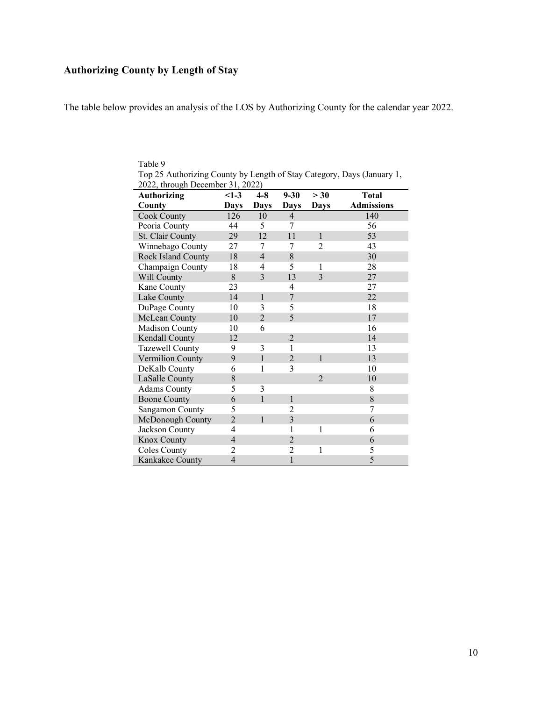# **Authorizing County by Length of Stay**

The table below provides an analysis of the LOS by Authorizing County for the calendar year 2022.

| 2022, through December 31, 2022) |                |                |                |                |                   |  |  |
|----------------------------------|----------------|----------------|----------------|----------------|-------------------|--|--|
| <b>Authorizing</b>               | $<1-3$         | $4 - 8$        | $9 - 30$       | > 30           | <b>Total</b>      |  |  |
| County                           | <b>Days</b>    | <b>Days</b>    | <b>Days</b>    | <b>Days</b>    | <b>Admissions</b> |  |  |
| Cook County                      | 126            | 10             | $\overline{4}$ |                | 140               |  |  |
| Peoria County                    | 44             | 5              | 7              |                | 56                |  |  |
| St. Clair County                 | 29             | 12             | 11             | $\mathbf{1}$   | 53                |  |  |
| Winnebago County                 | 27             | 7              | 7              | $\overline{2}$ | 43                |  |  |
| Rock Island County               | 18             | $\overline{4}$ | 8              |                | 30                |  |  |
| Champaign County                 | 18             | 4              | 5              | 1              | 28                |  |  |
| Will County                      | 8              | $\overline{3}$ | 13             | 3              | 27                |  |  |
| Kane County                      | 23             |                | 4              |                | 27                |  |  |
| Lake County                      | 14             | $\mathbf{1}$   | $\overline{7}$ |                | 22                |  |  |
| DuPage County                    | 10             | 3              | 5              |                | 18                |  |  |
| McLean County                    | 10             | $\overline{2}$ | 5              |                | 17                |  |  |
| Madison County                   | 10             | 6              |                |                | 16                |  |  |
| Kendall County                   | 12             |                | $\overline{2}$ |                | 14                |  |  |
| Tazewell County                  | 9              | 3              | 1              |                | 13                |  |  |
| Vermilion County                 | 9              | $\mathbf{1}$   | $\overline{2}$ | $\mathbf{1}$   | 13                |  |  |
| DeKalb County                    | 6              | 1              | 3              |                | 10                |  |  |
| LaSalle County                   | 8              |                |                | $\overline{2}$ | 10                |  |  |
| <b>Adams County</b>              | 5              | 3              |                |                | 8                 |  |  |
| <b>Boone County</b>              | 6              | $\mathbf{1}$   | $\mathbf{1}$   |                | 8                 |  |  |
| Sangamon County                  | 5              |                | 2              |                | 7                 |  |  |
| McDonough County                 | $\overline{2}$ | $\mathbf{1}$   | $\overline{3}$ |                | 6                 |  |  |
| Jackson County                   | 4              |                | 1              | 1              | 6                 |  |  |
| Knox County                      | $\overline{4}$ |                | $\overline{2}$ |                | 6                 |  |  |
| <b>Coles County</b>              | 2              |                | $\overline{2}$ | 1              | 5                 |  |  |
| Kankakee County                  | $\overline{4}$ |                | $\mathbf{1}$   |                | 5                 |  |  |

Table 9 Top 25 Authorizing County by Length of Stay Category, Days (January 1,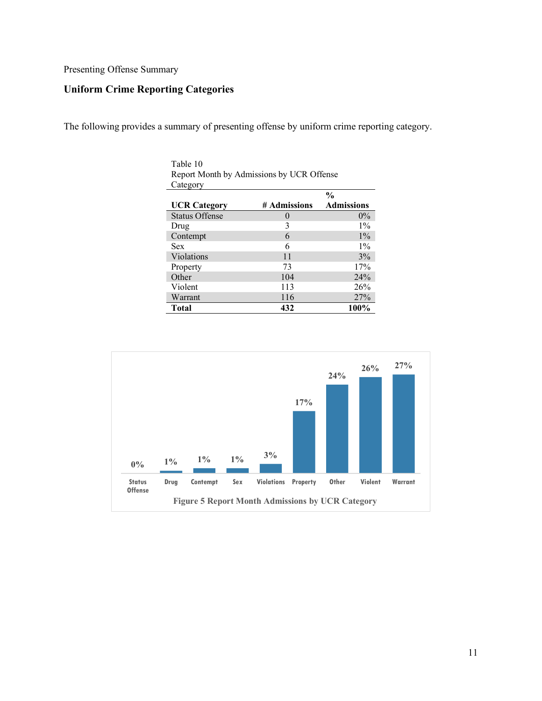#### Presenting Offense Summary

# **Uniform Crime Reporting Categories**

The following provides a summary of presenting offense by uniform crime reporting category.

| Category              |              |                   |
|-----------------------|--------------|-------------------|
|                       |              | $\frac{0}{0}$     |
| <b>UCR Category</b>   | # Admissions | <b>Admissions</b> |
| <b>Status Offense</b> |              | $0\%$             |
| Drug                  | 3            | $1\%$             |
| Contempt              | 6            | $1\%$             |
| Sex                   | 6            | $1\%$             |
| Violations            | 11           | 3%                |
| Property              | 73           | 17%               |
| Other                 | 104          | 24%               |
| Violent               | 113          | 26%               |
| Warrant               | 116          | 27%               |
| <b>Total</b>          | 432          | 100%              |



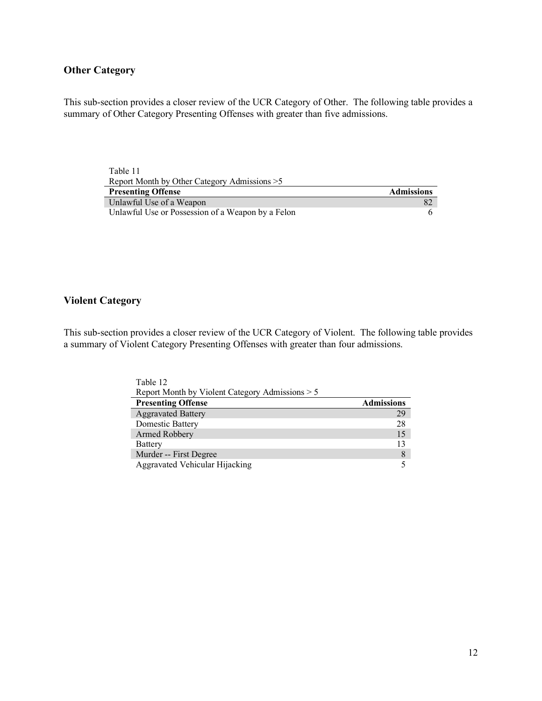# **Other Category**

This sub-section provides a closer review of the UCR Category of Other. The following table provides a summary of Other Category Presenting Offenses with greater than five admissions.

| Table 11                                          |                   |
|---------------------------------------------------|-------------------|
| Report Month by Other Category Admissions > 5     |                   |
| <b>Presenting Offense</b>                         | <b>Admissions</b> |
| Unlawful Use of a Weapon                          | -82               |
| Unlawful Use or Possession of a Weapon by a Felon |                   |

### **Violent Category**

This sub-section provides a closer review of the UCR Category of Violent. The following table provides a summary of Violent Category Presenting Offenses with greater than four admissions.

| Table 12                                        |                   |
|-------------------------------------------------|-------------------|
| Report Month by Violent Category Admissions > 5 |                   |
| <b>Presenting Offense</b>                       | <b>Admissions</b> |
| <b>Aggravated Battery</b>                       | 29                |
| Domestic Battery                                | 28                |
| Armed Robbery                                   | 15                |
| Battery                                         | 13                |
| Murder -- First Degree                          | 8                 |
| Aggravated Vehicular Hijacking                  |                   |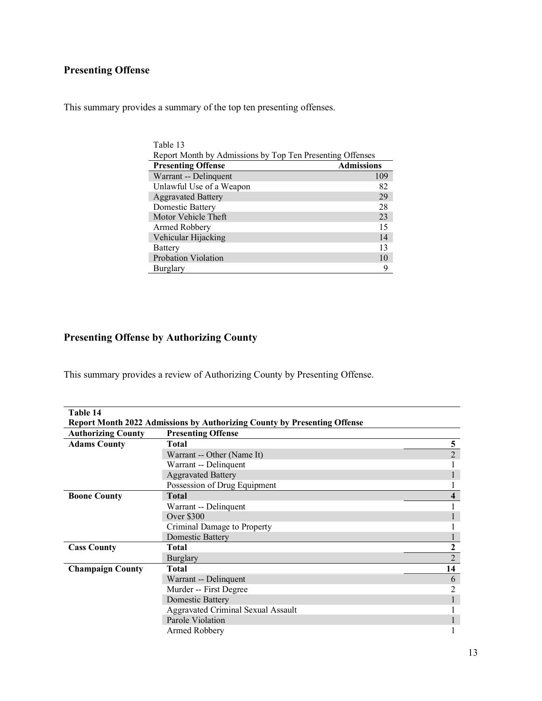# **Presenting Offense**

This summary provides a summary of the top ten presenting offenses.

| Table 13                                                  |                   |  |  |  |  |
|-----------------------------------------------------------|-------------------|--|--|--|--|
| Report Month by Admissions by Top Ten Presenting Offenses |                   |  |  |  |  |
| <b>Presenting Offense</b>                                 | <b>Admissions</b> |  |  |  |  |
| Warrant -- Delinquent                                     | 109               |  |  |  |  |
| Unlawful Use of a Weapon                                  | 82                |  |  |  |  |
| <b>Aggravated Battery</b>                                 | 29                |  |  |  |  |
| Domestic Battery                                          | 28                |  |  |  |  |
| Motor Vehicle Theft                                       | 23                |  |  |  |  |
| Armed Robbery                                             | 15                |  |  |  |  |
| Vehicular Hijacking                                       | 14                |  |  |  |  |
| Battery                                                   | 13                |  |  |  |  |
| Probation Violation                                       | 10                |  |  |  |  |
| Burglary                                                  | Q                 |  |  |  |  |

# **Presenting Offense by Authorizing County**

This summary provides a review of Authorizing County by Presenting Offense.

| Table 14                  |                                                                                 |                         |
|---------------------------|---------------------------------------------------------------------------------|-------------------------|
|                           | <b>Report Month 2022 Admissions by Authorizing County by Presenting Offense</b> |                         |
| <b>Authorizing County</b> | <b>Presenting Offense</b>                                                       |                         |
| <b>Adams County</b>       | <b>Total</b>                                                                    | 5                       |
|                           | Warrant -- Other (Name It)                                                      | $\overline{2}$          |
|                           | Warrant -- Delinquent                                                           |                         |
|                           | <b>Aggravated Battery</b>                                                       |                         |
|                           | Possession of Drug Equipment                                                    |                         |
| <b>Boone County</b>       | <b>Total</b>                                                                    | $\overline{\mathbf{4}}$ |
|                           | Warrant -- Delinquent                                                           |                         |
|                           | Over $$300$                                                                     |                         |
|                           | Criminal Damage to Property                                                     |                         |
|                           | <b>Domestic Battery</b>                                                         |                         |
| <b>Cass County</b>        | Total                                                                           | $\boldsymbol{2}$        |
|                           | <b>Burglary</b>                                                                 | $\overline{2}$          |
| <b>Champaign County</b>   | <b>Total</b>                                                                    | 14                      |
|                           | Warrant -- Delinquent                                                           | 6                       |
|                           | Murder -- First Degree                                                          |                         |
|                           | <b>Domestic Battery</b>                                                         |                         |
|                           | <b>Aggravated Criminal Sexual Assault</b>                                       |                         |
|                           | Parole Violation                                                                |                         |
|                           | Armed Robbery                                                                   |                         |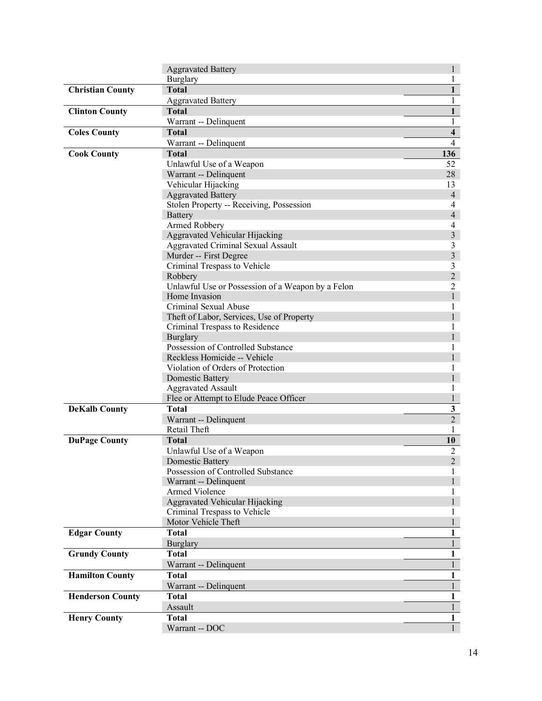|                         | <b>Aggravated Battery</b>                                          | $\mathbf{1}$                   |
|-------------------------|--------------------------------------------------------------------|--------------------------------|
|                         | Burglary                                                           | 1                              |
| <b>Christian County</b> | <b>Total</b>                                                       | $\mathbf{1}$                   |
|                         | <b>Aggravated Battery</b>                                          | $\mathbf{1}$                   |
| <b>Clinton County</b>   | <b>Total</b>                                                       | $\mathbf{1}$                   |
|                         | Warrant -- Delinquent                                              | $\mathbf{1}$                   |
| <b>Coles County</b>     | <b>Total</b>                                                       | $\overline{\mathbf{4}}$        |
|                         | Warrant -- Delinquent                                              | $\overline{4}$                 |
| <b>Cook County</b>      | <b>Total</b>                                                       | 136                            |
|                         | Unlawful Use of a Weapon                                           | 52                             |
|                         | Warrant -- Delinquent                                              | 28                             |
|                         | Vehicular Hijacking                                                | 13                             |
|                         | <b>Aggravated Battery</b>                                          | $\overline{4}$                 |
|                         | Stolen Property -- Receiving, Possession                           | 4                              |
|                         | Battery                                                            | $\overline{4}$                 |
|                         | Armed Robbery                                                      | 4                              |
|                         | Aggravated Vehicular Hijacking                                     | $\mathfrak{Z}$                 |
|                         | <b>Aggravated Criminal Sexual Assault</b>                          | 3                              |
|                         | Murder -- First Degree                                             | $\overline{3}$                 |
|                         | Criminal Trespass to Vehicle                                       | 3<br>$\overline{2}$            |
|                         | Robbery                                                            |                                |
|                         | Unlawful Use or Possession of a Weapon by a Felon<br>Home Invasion | $\overline{c}$<br>$\mathbf{1}$ |
|                         | Criminal Sexual Abuse                                              | 1                              |
|                         | Theft of Labor, Services, Use of Property                          | $\mathbf{1}$                   |
|                         | Criminal Trespass to Residence                                     | 1                              |
|                         | Burglary                                                           | $\mathbf{1}$                   |
|                         | Possession of Controlled Substance                                 | 1                              |
|                         | Reckless Homicide -- Vehicle                                       | $\mathbf{1}$                   |
|                         | Violation of Orders of Protection                                  | 1                              |
|                         | Domestic Battery                                                   | 1                              |
|                         | <b>Aggravated Assault</b>                                          | 1                              |
|                         | Flee or Attempt to Elude Peace Officer                             | $\mathbf{1}$                   |
| <b>DeKalb County</b>    | <b>Total</b>                                                       | 3                              |
|                         | Warrant -- Delinquent                                              | $\overline{2}$                 |
|                         | Retail Theft                                                       | 1                              |
| <b>DuPage County</b>    | <b>Total</b>                                                       | 10                             |
|                         | Unlawful Use of a Weapon                                           | $\overline{2}$                 |
|                         | <b>Domestic Battery</b>                                            | $\overline{2}$                 |
|                         | Possession of Controlled Substance                                 | 1                              |
|                         | Warrant -- Delinquent                                              | $\mathbf{1}$                   |
|                         | Armed Violence                                                     | 1                              |
|                         | Aggravated Vehicular Hijacking                                     | $\mathbf{1}$                   |
|                         | Criminal Trespass to Vehicle                                       |                                |
|                         | Motor Vehicle Theft                                                |                                |
| <b>Edgar County</b>     | <b>Total</b>                                                       | 1                              |
|                         | Burglary                                                           | $\mathbf{1}$                   |
| <b>Grundy County</b>    | <b>Total</b>                                                       | 1                              |
|                         | Warrant -- Delinquent                                              | $\mathbf{1}$                   |
| <b>Hamilton County</b>  | <b>Total</b>                                                       | $\mathbf{1}$                   |
|                         | Warrant -- Delinquent                                              | $\mathbf{1}$                   |
| <b>Henderson County</b> | <b>Total</b>                                                       | $\mathbf{1}$                   |
|                         | Assault                                                            | $\mathbf{1}$                   |
| <b>Henry County</b>     | <b>Total</b>                                                       | $\mathbf{1}$                   |
|                         | Warrant -- DOC                                                     | $\mathbf{1}$                   |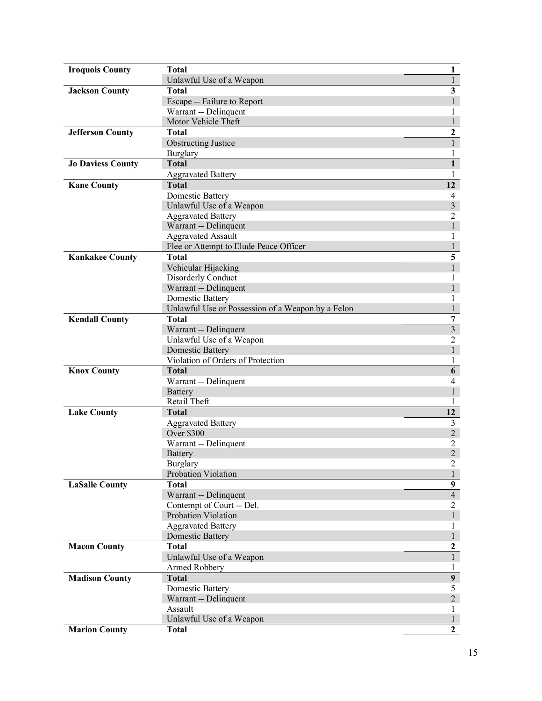| <b>Iroquois County</b>   | <b>Total</b>                                      | $\mathbf{1}$            |
|--------------------------|---------------------------------------------------|-------------------------|
|                          | Unlawful Use of a Weapon                          | $\mathbf{1}$            |
| <b>Jackson County</b>    | <b>Total</b>                                      | $\overline{\mathbf{3}}$ |
|                          | Escape -- Failure to Report                       | $\mathbf{1}$            |
|                          | Warrant -- Delinquent                             | 1                       |
|                          | Motor Vehicle Theft                               | $\mathbf{1}$            |
| <b>Jefferson County</b>  | <b>Total</b>                                      | $\mathbf{2}$            |
|                          | <b>Obstructing Justice</b>                        | $\mathbf{1}$            |
|                          | Burglary                                          |                         |
| <b>Jo Daviess County</b> | <b>Total</b>                                      | $\mathbf{1}$            |
|                          | <b>Aggravated Battery</b>                         | 1                       |
| <b>Kane County</b>       | <b>Total</b>                                      | 12                      |
|                          | <b>Domestic Battery</b>                           | $\overline{4}$          |
|                          | Unlawful Use of a Weapon                          | 3                       |
|                          | <b>Aggravated Battery</b>                         | 2                       |
|                          | Warrant -- Delinquent                             | $\mathbf{1}$            |
|                          | <b>Aggravated Assault</b>                         | 1                       |
|                          | Flee or Attempt to Elude Peace Officer            |                         |
| <b>Kankakee County</b>   | <b>Total</b>                                      | $\overline{\mathbf{5}}$ |
|                          | Vehicular Hijacking                               | $\mathbf{1}$            |
|                          | Disorderly Conduct                                | 1                       |
|                          | Warrant -- Delinquent                             | $\mathbf{1}$            |
|                          | Domestic Battery                                  | 1                       |
|                          | Unlawful Use or Possession of a Weapon by a Felon | $\mathbf{1}$            |
| <b>Kendall County</b>    | <b>Total</b>                                      | 7                       |
|                          | Warrant -- Delinquent                             | $\overline{3}$          |
|                          | Unlawful Use of a Weapon                          | $\overline{2}$          |
|                          | <b>Domestic Battery</b>                           | $\mathbf{1}$            |
|                          | Violation of Orders of Protection                 | 1                       |
| <b>Knox County</b>       | <b>Total</b>                                      | 6                       |
|                          | Warrant -- Delinquent                             | $\overline{4}$          |
|                          | Battery                                           | $\mathbf{1}$            |
|                          | Retail Theft                                      | 1                       |
| <b>Lake County</b>       | <b>Total</b>                                      | 12                      |
|                          | <b>Aggravated Battery</b>                         | 3                       |
|                          | <b>Over \$300</b>                                 | $\overline{2}$          |
|                          | Warrant -- Delinquent                             | $\overline{2}$          |
|                          | <b>Battery</b>                                    | $\overline{2}$          |
|                          | Burglary                                          | $\overline{c}$          |
|                          | Probation Violation                               | $\mathbf{1}$            |
| <b>LaSalle County</b>    | <b>Total</b>                                      | $\boldsymbol{9}$        |
|                          | Warrant -- Delinquent                             | $\overline{4}$          |
|                          | Contempt of Court -- Del.                         | $\overline{2}$          |
|                          | Probation Violation                               | $\mathbf{1}$            |
|                          | <b>Aggravated Battery</b>                         | 1                       |
|                          | <b>Domestic Battery</b>                           | $\mathbf{1}$            |
| <b>Macon County</b>      | <b>Total</b>                                      | $\mathbf{2}$            |
|                          | Unlawful Use of a Weapon                          | $\overline{1}$          |
|                          | Armed Robbery                                     | 1                       |
| <b>Madison County</b>    | <b>Total</b>                                      | 9 <sup>1</sup>          |
|                          | <b>Domestic Battery</b>                           | $\overline{5}$          |
|                          |                                                   |                         |
|                          | Warrant -- Delinquent                             | $\overline{2}$          |
|                          | Assault                                           | 1                       |
|                          | Unlawful Use of a Weapon                          | 1                       |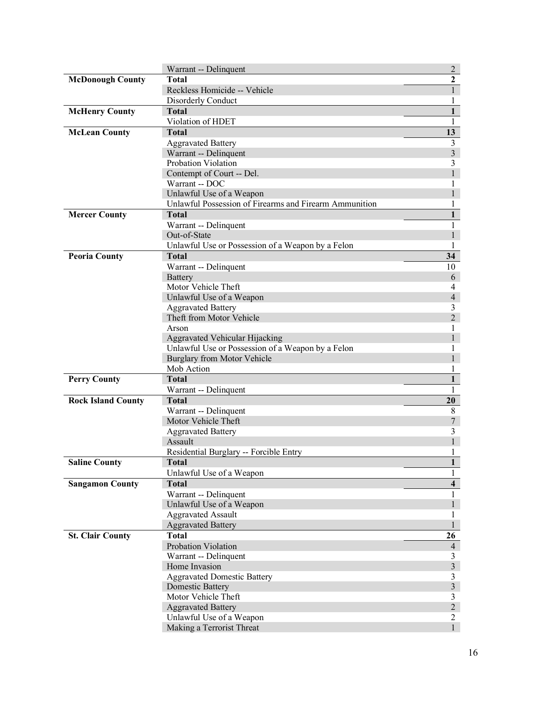|                           | Warrant -- Delinquent                                  | $\overline{2}$                 |
|---------------------------|--------------------------------------------------------|--------------------------------|
| <b>McDonough County</b>   | <b>Total</b>                                           | $\overline{2}$                 |
|                           | Reckless Homicide -- Vehicle                           | $\mathbf{1}$                   |
|                           | Disorderly Conduct                                     |                                |
| <b>McHenry County</b>     | <b>Total</b>                                           | $\mathbf{1}$                   |
|                           | Violation of HDET                                      | 1                              |
| <b>McLean County</b>      | <b>Total</b>                                           | 13                             |
|                           | <b>Aggravated Battery</b>                              | $\mathfrak{Z}$                 |
|                           | Warrant -- Delinquent                                  | $\overline{\mathbf{3}}$        |
|                           | Probation Violation                                    | 3                              |
|                           | Contempt of Court -- Del.                              | $\mathbf{1}$                   |
|                           | Warrant -- DOC                                         | 1                              |
|                           | Unlawful Use of a Weapon                               | 1                              |
|                           | Unlawful Possession of Firearms and Firearm Ammunition | 1                              |
| <b>Mercer County</b>      | <b>Total</b>                                           | $\mathbf{1}$                   |
|                           | Warrant -- Delinquent                                  | $\mathbf{1}$                   |
|                           | Out-of-State                                           | 1                              |
|                           | Unlawful Use or Possession of a Weapon by a Felon      | 1                              |
| <b>Peoria County</b>      | <b>Total</b>                                           | 34                             |
|                           | Warrant -- Delinquent                                  | 10                             |
|                           | Battery                                                | 6                              |
|                           | Motor Vehicle Theft                                    | 4                              |
|                           | Unlawful Use of a Weapon                               | $\overline{4}$                 |
|                           | <b>Aggravated Battery</b>                              | 3                              |
|                           | Theft from Motor Vehicle                               | $\overline{2}$                 |
|                           | Arson                                                  | 1                              |
|                           | Aggravated Vehicular Hijacking                         | 1                              |
|                           | Unlawful Use or Possession of a Weapon by a Felon      | 1                              |
|                           | Burglary from Motor Vehicle                            |                                |
|                           | Mob Action                                             | 1                              |
| <b>Perry County</b>       | <b>Total</b>                                           | $\mathbf{1}$                   |
|                           | Warrant -- Delinquent                                  | 1                              |
| <b>Rock Island County</b> | <b>Total</b>                                           | 20                             |
|                           | Warrant -- Delinquent                                  | $\,$ 8 $\,$                    |
|                           | Motor Vehicle Theft                                    | $\boldsymbol{7}$               |
|                           | <b>Aggravated Battery</b>                              | 3                              |
|                           | Assault                                                |                                |
|                           | Residential Burglary -- Forcible Entry                 | 1                              |
| Saline County             | <b>Total</b>                                           | $\mathbf{I}$                   |
|                           | Unlawful Use of a Weapon                               | 1                              |
| <b>Sangamon County</b>    | <b>Total</b>                                           | $\overline{\mathbf{4}}$        |
|                           | Warrant -- Delinquent                                  | 1                              |
|                           | Unlawful Use of a Weapon                               | 1                              |
|                           | <b>Aggravated Assault</b>                              | 1                              |
|                           | <b>Aggravated Battery</b>                              |                                |
| <b>St. Clair County</b>   | <b>Total</b>                                           | 26                             |
|                           | Probation Violation                                    | $\overline{4}$                 |
|                           | Warrant -- Delinquent                                  | 3                              |
|                           | Home Invasion                                          | $\mathfrak{Z}$                 |
|                           | <b>Aggravated Domestic Battery</b>                     | $\mathfrak{Z}$                 |
|                           | Domestic Battery                                       | $\mathfrak{Z}$                 |
|                           | Motor Vehicle Theft                                    | 3                              |
|                           | <b>Aggravated Battery</b>                              | $\overline{c}$                 |
|                           | Unlawful Use of a Weapon                               | $\overline{c}$<br>$\mathbf{1}$ |
|                           | Making a Terrorist Threat                              |                                |